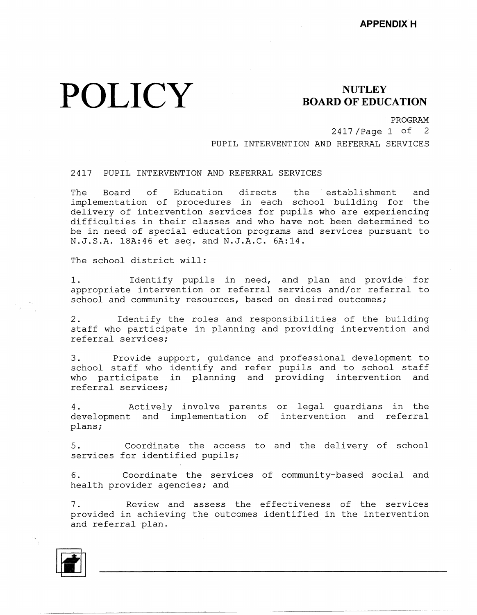# **POLICY**

### **NUTLEY BOARD OF EDUCATION**

PROGRAM

2417 /Page 1 of 2 PUPIL INTERVENTION AND REFERRAL SERVICES

#### 2417 PUPIL INTERVENTION AND REFERRAL SERVICES

The Board of Education directs the establishment and implementation of procedures in each school building for the delivery of intervention services for pupils who are experiencing difficulties in their classes and who have not been determined to be in need of special education programs and services pursuant to N.J.S.A. 18A:46 et seq. and N.J.A.C. 6A:14.

The school district will:

1. Identify pupils in need, and plan and provide for appropriate intervention or referral services and/or referral to school and community resources, based on desired outcomes;

2. Identify the roles and responsibilities of the building staff who participate in planning and providing intervention and referral services;

3. Provide support, guidance and professional development to school staff who identify and refer pupils and to school staff who participate in planning and providing intervention and referral services;

4. Actively involve parents or legal guardians in the development and implementation of intervention and refer: plans;

5. Coordinate the access to and the delivery of school services for identified pupils;

6. Coordinate the services of community-based social and health provider agencies; and

7. Review and assess the effectiveness of the services provided in achieving the outcomes identified in the intervention and referral plan.